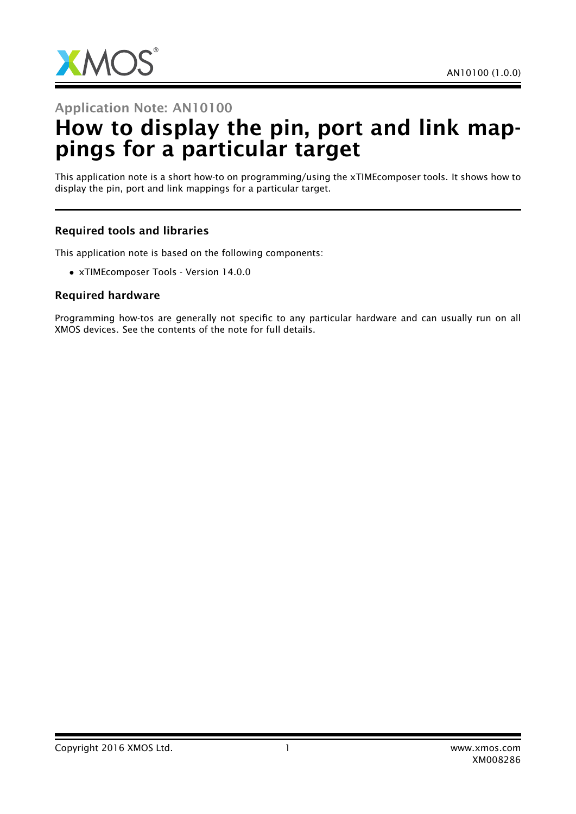

Application Note: AN10100

## How to display the pin, port and link mappings for a particular target

This application note is a short how-to on programming/using the xTIMEcomposer tools. It shows how to display the pin, port and link mappings for a particular target.

## Required tools and libraries

This application note is based on the following components:

• xTIMEcomposer Tools - Version 14.0.0

## Required hardware

Programming how-tos are generally not specific to any particular hardware and can usually run on all XMOS devices. See the contents of the note for full details.